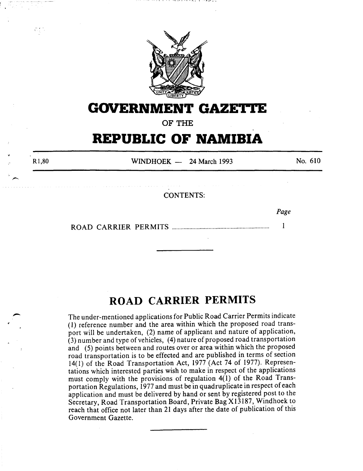

# **GOVERNMENT GAZE'I.I'E**

**OF THE** 

# **REPUBLIC OF NAMIBIA**

R<sub>1</sub>,80

 $WINDHOEK - 24 March 1993$ 

No. 610

CONTENTS:

Page

ROAD CARRIER PERMITS .................................................................. 1

# **ROAD CARRIER PERMITS**

The under-mentioned applications for Public Road Carrier Permits indicate ( 1) reference number and the area within which the proposed road transport will be undertaken, (2) name of applicant and nature of application,  $(3)$  number and type of vehicles,  $(4)$  nature of proposed road transportation and (5) points between and routes over or area within which the proposed road transportation is to be effected and are published in terms of section 14(1) of the Road Transportation Act, 1977 (Act 74 of 1977). Representations which interested parties wish to make in respect of the applications must comply with the provisions of regulation 4(1) of the Road Transportation Regulations, 1977 and must be in quadruplicate in respect of each application and must be delivered by hand or sent by registered post to the Secretary, Road Transportation Board, Private Bag Xl3187, Windhoek to reach that office not later than 21 days after the date of publication of this Government Gazette.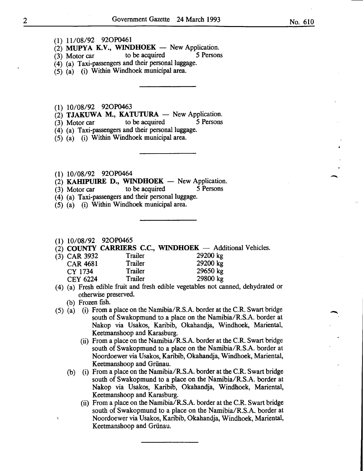- (1) 11/08/92 92OP0461
- (2) MUPYA K.V., WINDHOEK New Application.<br>(3) Motor car to be acquired 5 Persons
- (3) Motor car to be acquired 5 Persons
- (4) (a) Taxi-passengers and their personal luggage.
- (5) (a) (i) Within Windhoek municipal area.
- (1) 10/08/92 920P0463
- $(2)$  TJAKUWA M., KATUTURA  $-$  New Application.
- (3) Motor car to be acquired 5 Persons
- (4) (a) Taxi-passengers and their personal luggage.
- (5) (a) (i) Within Windhoek municipal area.
- (1) 10/08/92 920P0464
- (2) KAHIPUIRE D., WINDHOEK  $-$  New Application.
- (3) Motor car to be acquired 5 Persons
- (4) (a) Taxi-passengers and their personal luggage.
- (5) (a) (i) Within Windhoek municipal area.
- (1) 10/08/92 920P0465
- (2) COUNTY CARRIERS C.C., WINDHOEK  $-$  Additional Vehicles.<br>(3) CAR 3932 Trailer 29200 kg
- (3) CAR 3932 Trailer 29200 kg<br>CAR 4681 Trailer 29200 kg CAR 4681 Trailer<br>CY 1734 Trailer CY 1734 Trailer 29650 kg<br>CEY 6224 Trailer 29800 kg CEY 6224 Trailer
- (4) (a) Fresh edible fruit and fresh edible vegetables not canned, dehydrated or otherwise preserved.
	- (b) Frozen fish.
- (5) (a) (i) From a place on the Namibia/R.S.A. border at the C.R. Swart bridge south of Swakopmund to a place on the Namibia/R.S.A. border at Nakop via Usakos, Karibib, Okahandja, Windhoek, Mariental, Keetmanshoop and Karasburg.
	- (ii) From a place on the Namibia/R.S.A. border at the C.R. Swart bridge south of Swakopmund to a place on the Namibia/R.S.A. border at Noordoewer via Usakos, Karibib, Okahandja, Windhoek, Mariental, Keetmanshoop and Griinau.
	- (b) (i) From a place on the Namibia/R.S.A. border at the C.R. Swart bridge south of Swakopmund to a place on the Namibia/R.S.A. border at Nakop via Usakos, Karibib, Okahandja, Windhoek, Mariental, Keetmanshoop and Karasburg.
		- (ii) From a place on the Namibia/R.S.A. border at the C.R. Swart bridge south of Swakopmund to a place on the Namibia/R.S.A. border at Noordoewer via Usakos, Karibib, Okahandja, Windhoek, Mariental, Keetmanshoop and Griinau.

-<br>-<br>-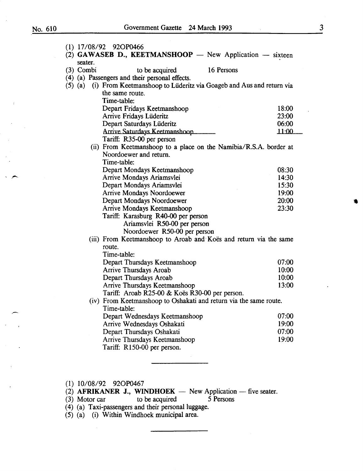$\bar{\bar{z}}$ 

|                        | (1) 17/08/92 92OP0466                                                                             |         |
|------------------------|---------------------------------------------------------------------------------------------------|---------|
|                        | (2) GAWASEB D., KEETMANSHOOP $-$ New Application $-$ sixteen                                      |         |
| seater.<br>$(3)$ Combi | 16 Persons<br>to be acquired                                                                      |         |
|                        | (4) (a) Passengers and their personal effects.                                                    |         |
| $(5)$ $(a)$            | (i) From Keetmanshoop to Lüderitz via Goageb and Aus and return via                               |         |
|                        | the same route.                                                                                   |         |
|                        | Time-table:                                                                                       |         |
|                        | Depart Fridays Keetmanshoop                                                                       | 18:00   |
|                        | Arrive Fridays Lüderitz                                                                           | 23:00   |
|                        | Depart Saturdays Lüderitz                                                                         | 06:00   |
|                        | Arrive Saturdays Keetmanshoop                                                                     | .11:00. |
|                        | Tariff: R35-00 per person                                                                         |         |
|                        | (ii) From Keetmanshoop to a place on the Namibia/R.S.A. border at                                 |         |
|                        | Noordoewer and return.                                                                            |         |
|                        | Time-table:                                                                                       |         |
|                        | Depart Mondays Keetmanshoop                                                                       | 08:30   |
|                        | Arrive Mondays Ariamsvlei                                                                         | 14:30   |
|                        | Depart Mondays Ariamsvlei                                                                         | 15:30   |
|                        | Arrive Mondays Noordoewer                                                                         | 19:00   |
|                        | Depart Mondays Noordoewer                                                                         | 20:00   |
|                        | Arrive Mondays Keetmanshoop                                                                       | 23:30   |
|                        | Tariff: Karasburg R40-00 per person                                                               |         |
|                        | Ariamsvlei R50-00 per person                                                                      |         |
|                        | Noordoewer R50-00 per person<br>(iii) From Keetmanshoop to Aroab and Koës and return via the same |         |
|                        | route.                                                                                            |         |
|                        | Time-table:                                                                                       |         |
|                        | Depart Thursdays Keetmanshoop                                                                     | 07:00   |
|                        | Arrive Thursdays Aroab                                                                            | 10:00   |
|                        | Depart Thursdays Aroab                                                                            | 10:00   |
|                        | Arrive Thursdays Keetmanshoop                                                                     | 13:00   |
|                        | Tariff: Aroab R25-00 & Koës R30-00 per person.                                                    |         |
|                        | (iv) From Keetmanshoop to Oshakati and return via the same route.                                 |         |
|                        | Time-table:                                                                                       |         |
|                        | Depart Wednesdays Keetmanshoop                                                                    | 07:00   |
|                        | Arrive Wednesdays Oshakati                                                                        | 19:00   |
|                        | Depart Thursdays Oshakati                                                                         | 07:00   |
|                        | Arrive Thursdays Keetmanshoop                                                                     | 19:00   |
|                        | Tariff: R150-00 per person.                                                                       |         |
|                        |                                                                                                   |         |

(1) 10/08/92 920P0467

| (2) AFRIKANER J., WINDHOEK $-$ New Application $-$ five seater. |  |  |
|-----------------------------------------------------------------|--|--|
|-----------------------------------------------------------------|--|--|

(3) Motor car to be acquired 5 Persons

(4) (a) Taxi-passengers and their personal luggage.

(5) (a) (i) Within Windhoek municipal area.

3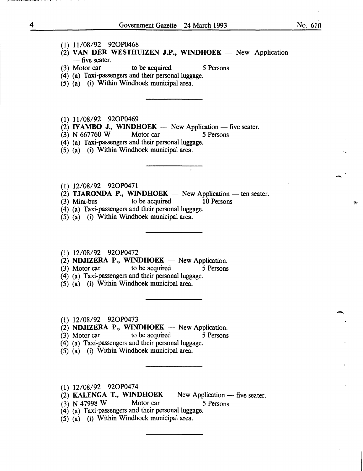$\overline{\phantom{0}}$ 

- (1) 11/08/92 920P0468
- $(2)$  VAN DER WESTHUIZEN J.P., WINDHOEK New Application  $-$ five seater.<br>(3) Motor car
- to be acquired 5 Persons

(4) (a) Taxi-passengers and their personal luggage.

- (5) (a) (i) Within Windhoek municipal area.
- (1) 11/08/92 92OP0469
- (2) **IYAMBO J., WINDHOEK** New Application five seater.
- (3) N 667760 W Motor car 5 Persons
- (4) (a) Taxi-passengers and their personal luggage.
- (5) (a) (i) Within Windhoek municipal area.
- (1) 12/08/92 920P0471
- (2) **TJARONDA P., WINDHOEK** New Application ten seater.<br>(3) Mini-bus to be acquired 10 Persons
- (3) Mini-bus to be acquired 10 Persons
- (4) (a) Taxi-passengers and their personal luggage.
- (5) (a) (i) Within Windhoek municipal area.
- (1) 12/08/92 920P0472
- (2) **NDJIZERA P., WINDHOEK** New Application.<br>(3) Motor car to be acquired 5 Persons
- $(3)$  Motor car
- (4) (a) Taxi-passengers and their personal luggage.
- (5) (a) (i) Within Windhoek municipal area.
- (1) 12/08/92 920P0473
- $(2)$  NDJIZERA P., WINDHOEK New Application.
- (3) Motor car to be acquired 5 Persons
- (4) (a) Taxi-passengers and their personal luggage.
- (5) (a) (i) Within Windhoek municipal area.
- (1) 12/08/92 920P0474
- (2) KALENGA T., WINDHOEK  $-$  New Application  $-$  five seater.
- (3) N 47998 W Motor car 5 Persons
- $(4)$  (a) Taxi-passengers and their personal luggage.
- (5) (a) (i) Within Windhoek municipal area.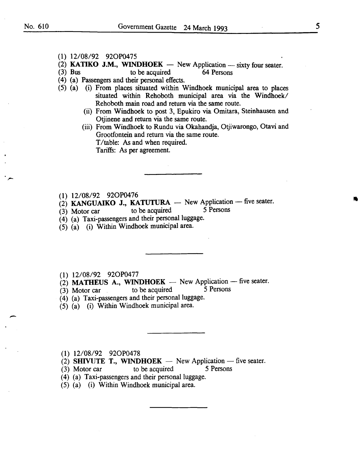-

- (1) 12/08/92 920P0475
- (2) KATIKO J.M., WINDHOEK  $-$  New Application  $-$  sixty four seater.
- (3) Bus to be acquired 64 Persons
- ( 4) (a) Passengers and their personal effects.
- (5) (a) (i) From places situated within Windhoek municipal area to places situated within Rehoboth municipal area via the Windhoek/ Rehoboth main road and return via the same route.
	- (ii) From Windhoek to post 3, Epukiro via Omitara, Steinhausen and Otjinene and return via the same route.
	- (iii) From Windhoek to Rundu via Okahandja, Otjiwarongo, Otavi and Grootfontein and return via the same route. T/table: As and when required. Tariffs: As per agreement.
- (1) 12/08/92 920P0476
- (2) KANGUAIKO J., KATUTURA  $-$  New Application  $-$  five seater.<br>(3) Motor car to be acquired 5 Persons
- $(3)$  Motor car to be acquired
- (4) (a) Taxi-passengers and their personal luggage.
- (5) (a) (i) Within Windhoek municipal area.
- (1) 12/08/92 920P0477
- (2) **MATHEUS A., WINDHOEK** New Application five seater.<br>(3) Motor car to be acquired 5 Persons
- $(3)$  Motor car to be acquired
- (4) (a) Taxi-passengers and their personal luggage.
- (5) (a) (i) Within Windhoek municipal area.

(1) 12/08/92 920P0478

- (2) SHIVUTE T., WINDHOEK  $-$  New Application  $-$  five seater.
- (3) Motor car to be acquired 5 Persons
- (4) (a) Taxi-passengers and their personal luggage.
- (5) (a) (i) Within Windhoek municipal area.

•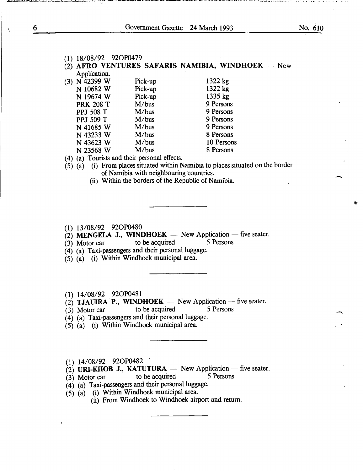| $(1)$ 18/08/92 92OP0479 |                                                   |           |            |  |
|-------------------------|---------------------------------------------------|-----------|------------|--|
|                         | (2) AFRO VENTURES SAFARIS NAMIBIA, WINDHOEK - New |           |            |  |
| Application.            |                                                   |           |            |  |
| (3) N 42399 W           | Pick-up                                           | 1322 kg   |            |  |
| N 10682 W               | Pick-up                                           | 1322 kg   |            |  |
| N 19674 W               | Pick-up                                           | 1335 kg   |            |  |
| <b>PRK 208 T</b>        | M/bus                                             | 9 Persons |            |  |
| <b>PPJ 508 T</b>        | M/bus                                             | 9 Persons |            |  |
| PPJ 509 T               | M/bus                                             | 9 Persons |            |  |
| N 41685 W               | M/bus                                             | 9 Persons |            |  |
| N 43233 W               | M/bus                                             | 8 Persons |            |  |
| N 43623 W               | M/bus                                             |           | 10 Persons |  |
| N 23568 W               | M/bus                                             | 8 Persons |            |  |
|                         |                                                   |           |            |  |

(4) (a) Tourists and their personal effects.

 $(5)$   $(a)$  (i) From places situated within Namibia to places situated on the border of Namibia with neighbouring countries.

(ii) Within the borders of the Republic of Namibia.

(1) 13/08/92 920P0480

(2) **MENGELA J., WINDHOEK** - New Application - five seater.<br>(3) Motor car to be acquired 5 Persons

 $(3)$  Motor car to be acquired

 $(4)$  (a) Taxi-passengers and their personal luggage.

(5) (a) (i) Within Windhoek municipal area.

(1) 14/08/92 920P0481

 $\vec{c}$ ) TJAUIRA P., WINDHOEK - New Application - five seater.

(3) Motor car to be acquired 5 Persons

 $(4)$  (a) Taxi-passengers and their personal luggage.

(5) (a) (i) Within Windhoek municipal area.

(1) 14/08/92 920P0482 .

(2) URI-KHOB J., KATUTURA  $-$  New Application  $-$  five seater.<br>(3) Motor car to be acquired 5 Persons

 $(3)$  Motor car to be acquired

 $(4)$  (a) Taxi-passengers and their personal luggage.

(5) (a) (i) Within Windhoek municipal area.

(ii) From Windhoek to Windhoek airport and return.

 $\lambda$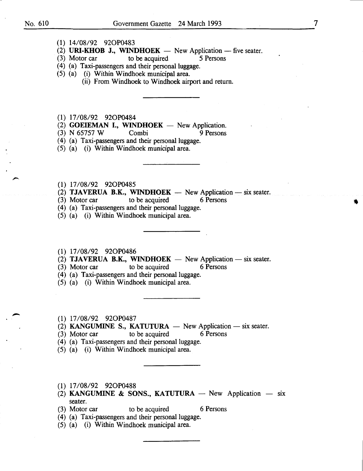- (1) 14/08/92 920P0483
- (2) URI-KHOB J., WINDHOEK New Application five seater.<br>(3) Motor car to be acquired 5 Persons
- (3) Motor car to be acquired 5 Persons
- (4) (a) Taxi-passengers and their personal luggage.
- (5) (a) (i) Within Windhoek municipal area.
	- (ii) From Windhoek to Windhoek airport and return.
- (1) 17/08/92 920P0484
- (2) GOEIEMAN I., WINDHOEK New Application.<br>
(3) N 65757 W Combi 9 Persons
- (3) N 65757 W Combi 9 Persons
- (4) (a) Taxi-passengers and their personal luggage.
- (5) (a) (i) Within Windhoek municipal area.
- (1) 17/08/92 920P0485
- (2) **TJAVERUA B.K., WINDHOEK** New Application six seater.<br>(3) Motor car to be acquired 6 Persons
- $(3)$  Motor car to be acquired
- (4) (a) Taxi-passengers and their personal luggage.
- (5) (a) (i) Within Windhoek municipal area.
- (1) 17/08/92 920P0486
- (2) TJAVERUA B.K., WINDHOEK  $-$  New Application  $-$  six seater.
- (3) Motor car to be acquired 6 Persons
- (4) (a) Taxi-passengers and their personal luggage.
- (5) (a) (i) Within Windhoek municipal area.
- (1) 17/08/92 920P0487
- (2) KANGUMINE S., KATUTURA  $-$  New Application  $-$  six seater.
- (3) Motor car to be acquired 6 Persons
- (4) (a) Taxi-passengers and their personal luggage.
- (5) (a) (i) Within Windhoek municipal area.
- (1) 17/08/92 920P0488
- (2) KANGUMINE & SONS., KATUTURA New Application six seater.
- (3) Motor car to be acquired 6 Persons
- (4) (a) Taxi-passengers and their personal luggage.
- (5) (a) (i) Within Windhoek municipal area.

7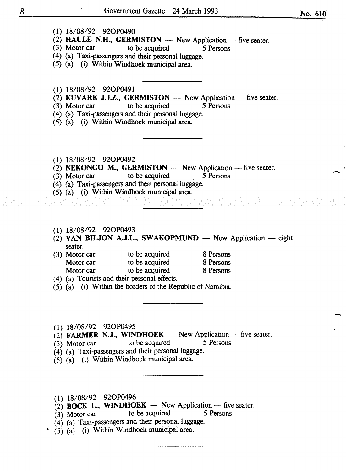-

- (1) 18/08/92 920P0490
- (2) HAULE N.H., GERMISTON  $-$  New Application  $-$  five seater.<br>(3) Motor car to be acquired 5 Persons
- to be acquired
- (4) (a) Taxi-passengers and their personal luggage.
- (5) (a) (i) Within Windhoek municipal area.
- (1) 18/08/92 920P0491
- (2) KUVARE J.J.Z., GERMISTON New Application -- five seater.<br>(3) Motor car to be acquired 5 Persons
- (3) Motor car to be acquired
- (4) (a) Taxi-passengers and their personal luggage.
- (5) (a) (i) Within Windhoek municipal area.
- $(1)$  18/08/92 92OP0492
- (2) NEKONGO M., GERMISTON  $-$  New Application  $-$  five seater.<br>(3) Motor car to be acquired 5 Persons
- (3) Motor car to be acquired
- (4) (a) Taxi-passengers and their personal luggage.
- $(5)$   $(a)$   $(i)$  Within Windhoek municipal area.
- $(1)$  18/08/92 92OP0493
- $(2)$  VAN BILJON A.J.L., SWAKOPMUND New Application -- eight seater.
- (3) Motor car to be acquired Motor car to be acquired Motor car to be acquired 8 Persons 8 Persons 8 Persons
- (4) (a) Tourists and their personal effects.
- (5) (a) (i) Within the borders of the Republic of Namibia.
- (1) 18/08/92 920P0495
- $(2)$  FARMER N.J., WINDHOEK New Application five seater.
- (3) Motor car to be acquired *5* Persons
- (4) (a) Taxi-passengers and their personal luggage.
- $(5)$   $(a)$  (i) Within Windhoek municipal area.
- (1) 18/08/92 920P0496
- $\overrightarrow{2}$  BOCK L., WINDHOEK New Application five seater.
- $(3)$  Motor car to be acquired 5 Persons
- (4) (a) Taxi-passengers and their personal luggage.
- $(5)$   $(a)$  (i) Within Windhoek municipal area.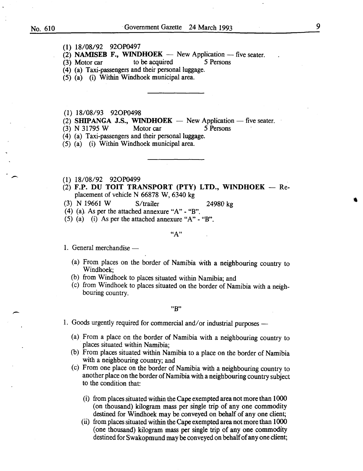- (I) I8/08/92 920P0497
- (2) **NAMISEB F., WINDHOEK** New Application -- five seater.<br>(3) Motor car to be acquired 5 Persons
- (3) Motor car to be acquired
- (4) (a) Taxi-passengers and their personal luggage.
- (5) (a) (i) Within Windhoek municipal area.
- (I) I8/08/93 920P0498
- (2) SHIPANGA J.S., WINDHOEK  $-$  New Application  $-$  five seater.
- (3) N 3I795 W Motor car *5* Persons
- (4) (a) Taxi-passengers and their personal luggage.
- (5) (a) (i) Within Windhoek municipal area.
- (I) I8/08/92 920P0499
- $(2)$  F.P. DU TOIT TRANSPORT (PTY) LTD., WINDHOEK  $-$  Replacement of vehicle N 66878 W, 6340 kg
- (3) N I966I W S/trailer 24980 kg
- (4) (a). As per the attached annexure "A"  $\text{- }$  "B".
- (5) (a) (i) As per the attached annexure "A" "B".

 $"A"$ 

- 1. General merchandise  $-$ 
	- (a) From places on the border of Namibia with a neighbouring country to Windhoek;
	- (b) from Windhoek to places situated within Namibia; and
	- (c) from Windhoek to places situated on the border of Namibia with a neighbouring country.

"B"

- 1. Goods urgently required for commercial and/or industrial purposes -
	- (a) From a place on the border of Namibia with a neighbouring country to places situated within Namibia;
	- (b) From places situated within Namibia to a place on the border of Namibia with a neighbouring country; and
	- (c) From one place on the border of Namibia with a neighbouring country to another place on the border of Namibia with a neighbouring country subject to the condition that:
		- (i) from places situated within the Cape exempted area not more than I 000 (on thousand) kilogram mass per single trip of any one commodity destined for Windhoek may be conveyed on behalf of any one client;
		- (ii) from places situated within the Cape exempted area not more than 1000 (one thousand) kilogram mass per single trip of any one commodity destined for Swakopmund may be conveyed on behalf of any one client;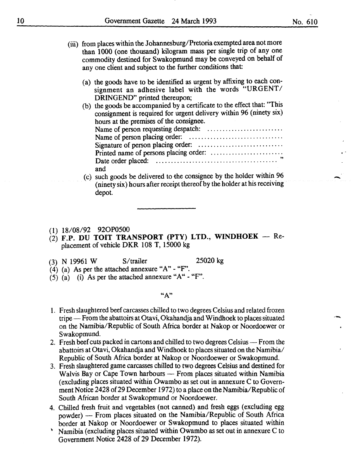- (iii) from places within the Johannesburg/Pretoria exempted area not more than 1000 (one thousand) kilogram mass per single trip of any one commodity destined for Swakopmund may be conveyed on behalf of any one client and subject to the further conditions that:
	- (a) the goods have to be identified as urgent by affixing to each consignment an adhesive label with the words "URGENT/ DRINGEND" printed thereupon;
	- (b) the goods be accompanied by a certificate to the effect that: "This consignment is required for urgent delivery within 96 (ninety six) hours at the premises of the consignee. Name of person requesting despatch: ........................ . Name of person placing order: .............................. . Signature of person placing order: ........................... . Printed name of persons placing order: ....................... . Date order placed: . . . . . . . . . . . . . . . . . . . . . . . . . . . . . . . . . . . . . . . . " and
	- (c) such goods be delivered to the consignee by the holder within 96 (ninety six) hours after receipt thereof by the holder at his receiving depot.
- (1) 18/08/92 920P0500
- $(2)$  F.P. DU TOIT TRANSPORT (PTY) LTD., WINDHOEK Replacement of vehicle DKR 108 T, 15000 kg
- (3) N 19961 W S/trailer 25020 kg
- (4) (a) As per the attached annexure "A"- "F'.
- (5) (a) (i) As per the attached annexure " $A$ " " $F$ ".

"A"

- 1. Fresh slaughtered beef carcasses chilled to two degrees Celsius and related frozen tripe- From the abattoirs at Otavi, Okahandja and Windhoek to places situated on the Namibia/Republic of South Africa border at Nakop or Noordoewer or Swakopmund.
- 2. Fresh beef cuts packed in cartons and chilled to two degrees Celsius From the abattoirs at Otavi, Okahandja and Windhoek to places situated on the Namibia/ Republic of South Africa border at Nakop or Noordoewer or Swakopmund.
- 3. Fresh slaughtered game carcasses chilled to two degrees Celsius and destined for Walvis Bay or Cape Town harbours - From places situated within Namibia (excluding places situated within Owambo as set out in annexure C to Government Notice 2428 of 29 December 1972) to a place on the Namibia/Republic of South African border at Swakopmund or Noordoewer.
- 4. Chilled fresh fruit and vegetables (not canned) and fresh eggs (excluding egg powder) - From places situated on the Namibia/Republic of South Africa border at Nakop or Noordoewer or Swakopmund to places situated within
- Namibia (excluding places situated within Owambo as set out in annexure C to Government Notice 2428 of 29 December 1972).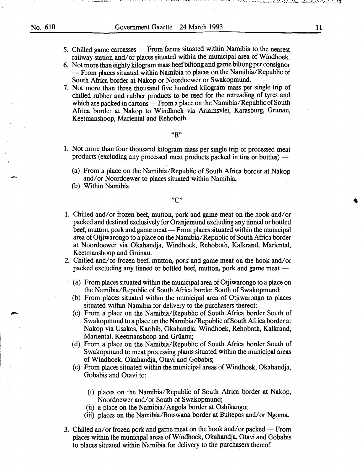$\overline{\phantom{a}}$ 

5. Chilled game carcasses — From farms situated within Namibia to the nearest railway station and/or places situated within the municipal area of Windhoek.

್ ನಿರ್ವಾಹಕ ಕಾರಣಕ್ಕೆ ಬಳಸಿದರು. ಕರ್ನಾಹಕ ಕರ್ನಾಟಕದಲ್ಲಿ ಕಾರಿ ಸಾಕ್ಷೇತ್ರಗಳಲ್ಲಿ ಕಾರಣಗೊಳಿಸುವ ಹಿಂದೂ ಕಾರ್ಯಕ್ರಮ ಕಾರ್ಯಕ್ರಮ ವ

- 6. Not more than eighty kilogram mass beefbiltong and game biltong per consignor - From places situated within Namibia to places on the Namibia/Republic of South Africa border at Nakop or Noordoewer or Swakopmund.
- 7. Not more than three thousand five hundred kilogram mass per single trip of chilled rubber and rubber products to be used for the retreading of tyres and which are packed in cartons - From a place on the Namibia/Republic of South Africa border at Nakop to Windhoek via Ariamsvlei, Karasburg, Griinau, Keetmanshoop, Mariental and Rehoboth.

"B"

- 1. Not more than four thousand kilogram mass per single trip of processed meat products (excluding any processed meat products packed in tins or bottles) —
	- (a) From a place on the Namibia/Republic of South Africa border at Nakop and/or Noordoewer to places situated within Namibia;
	- (b) Within Namibia.

### "C"

- 1. Chilled and/ or frozen beef, mutton, pork and game meat on the hook and/ or packed and destined exclusively for Oranjemund excluding any tinned or bottled beef, mutton, pork and game meat- From places situated within the municipal area of Otjiwarongo to a place on the Namibia/Republic of South Africa border at Noordoewer via Okahandja, Windhoek, Rehoboth, Kalkrand, Mariental, Keetmanshoop and Griinau.
- 2. Chilled and/or frozen beef, mutton, pork and game meat on the hook and/or packed excluding any tinned or bottled beef, mutton, pork and game meat —
	- (a) From places situated within the municipal area of Otjiwarongo to a place on the Namibia/Republic of South Africa border South of Swakopmund;
	- (b) From places situated within the municipal area of Otjiwarongo to places situated within Namibia for delivery to the purchasers thereof;
	- (c) From a place on the Namibia/Republic of South Africa border South of Swakopmund to a place on the Namibia/Republic of South Africa border at Nakop via Usakos, Karibib, Okahandja, Windhoek, Rehoboth, Kalkrand, Mariental, Keetmanshoop and Griianu;
	- (d) From a place on the Namibia/Republic of South Africa border South of Swakopmund to meat processing plants situated within the municipal areas of Windhoek, Okahandja, Otavi and Gobabis;
	- (e) From places situated within the municipal areas of Windhoek, Okahandja, Gobabis and Otavi to:
		- (i) places on the Namibia/Republic of South Africa border at Nakop, Noordoewer and/or South of Swakopmund;
		- (ii) a place on the Namibia/ Angola border at Oshikango;
		- (iii) places on the Namibia/Botswana border at Buitepos and/or Ngoma.
- 3. Chilled an/or frozen pork and game meat on the hook and/or packed From places within the municipal areas of Windhoek, Okahandja, Otavi and Gobabis to places situated within Namibia for delivery to the purchasers thereof.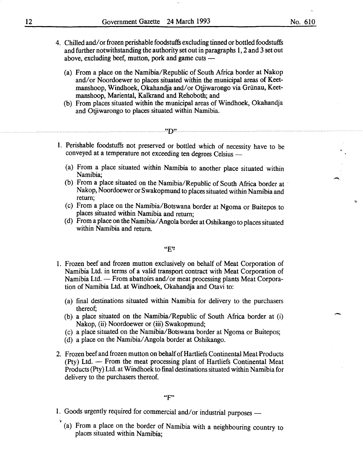- 4. Chilled and/ or frozen perishable foodstuffs excluding tinned or bottled foodstuffs and further notwithstanding the authority set out in paragraphs I, 2 and 3 set out above, excluding beef, mutton, pork and game cuts -
	- (a) From a place on the Namibia/Republic of South Africa border at Nakop and/or Noordoewer to places situated within the municipal areas of Keetmanshoop, Windhoek, Okahandja and/ or Otjiwarongo via Griinau, Keetmanshoop, Mariental, Kalkrand and Rehoboth; and
	- (b) From places situated within the municipal areas of Windhoek, Okahandja and Otiiwarongo to places situated within Namibia.

- 1. Perishable foodstuffs not preserved or bottled which of necessity have to be conveyed at a temperature not exceeding ten degrees Celsius -
	- (a) From a place situated within Namibia to another place situated within Namibia;
	- (b) From a place situated on the Namibia/Republic of South Africa border at · Nakop, Noordoewer or Swakopmund to places situated within Namibia and return;
	- (c) From a place on the Namibia/Botswana border at Ngoma or Buitepos to places situated within Namibia and return;
	- (d) From a place on the Namibia/ Angola border at Oshikango to places situated within Namibia and return.

### "E'Z

- I. Frozen beef and frozen mutton exclusively on behalf of Meat Corporation of Namibia Ltd. in terms of a valid transport contract with Meat Corporation of Namibia Ltd. - From abattoirs and/or meat processing plants Meat Corporation of Namibia Ltd. at Windhoek, Okahandja and Otavi to:
	- (a) final destinations situated within Namibia for delivery to the purchasers thereof;
	- (b) a place situated on the Namibia/Republic of South Africa border at (i) Nakop, (ii) Noordoewer or (iii) Swakopmund;
	- (c) a place situated on the Namibia/Botswana border at Ngoma or Buitepos;
	- (d) a place on the Namibia/ Angola border at Oshikango.
- 2. Frozen beef and frozen mutton on behalf of Hartliefs Continental Meat Products  $(Pty)$  Ltd.  $-$  From the meat processing plant of Hartliefs Continental Meat Products (Pty) Ltd. at Windhoek to final destinations situated within Namibia for delivery to the purchasers thereof.

1. Goods urgently required for commercial and/or industrial purposes -

\-

(a) From a place on the border of Namibia with a neighbouring country to places situated within Namibia;

 $\overline{\phantom{a}}$ 

ä,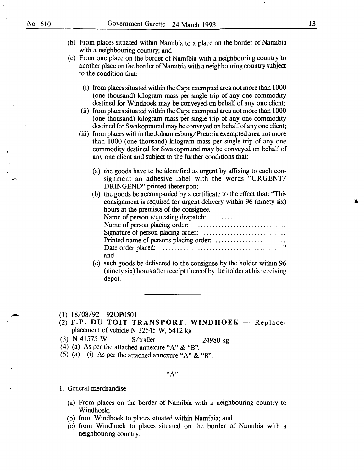-

**-**

- (b) From places situated within Namibia to a place on the border of Namibia with a neighbouring country; and
- (c) From one place on the border of Namibia with a neighbouring country 'to another place on the border of Namibia with a neighbouring country subject to the condition that:
	- ( i) from places situated within the Cape exempted area not more than 1000 (one thousand) kilogram mass per single trip of any one commodity destined for Windhoek may be conveyed on behalf of any one client;
	- ( ii) from places situated within the Cape exempted area not more than 1000 (one thousand) kilogram mass per single trip of any one commodity destined for Swakopmund may be conveyed on behalf of any one client;
	- (iii) from places within the Johannesburg/Pretoria exempted area not more than 1000 (one thousand) kilogram mass per single trip of any one commodity destined for Swakopmund may be conveyed on behalf of any one client and subject to the further conditions that:
		- (a) the goods have to be identified as urgent by affixing to each consignment an adhesive label with the words "URGENT/ DRINGEND" printed thereupon;
		- (b) the goods be accompanied by a certificate to the effect that: "This consignment is required for urgent delivery within 96 (ninety six) hours at the premises of the consignee.

|     | $\sim$ $\sim$ |
|-----|---------------|
| and |               |

(c) such goods be delivered to the consignee by the holder within 96 (ninety six) hours after receipt thereof by the holder at his receiving depot.

(1) 18/08/92 920P0501

- (2) F.P. DU TOIT TRANSPORT, WINDHOEK Replaceplacement of vehicle N 32545 W, 5412 kg
- (3) N 41575 W S/trailer 24980 kg
- (4) (a) As per the attached annexure "A" & "B".
- (5) (a) (i) As per the attached annexure "A" & "B".

**"A"** 

- 1. General merchandise  $-$ 
	- (a) From places on the border of Namibia with a neighbouring country to Windhoek;
	- (b) from Windhoek to places situated within Namibia; and
	- (c) from Windhoek to places situated on the border of Namibia with a neighbouring country.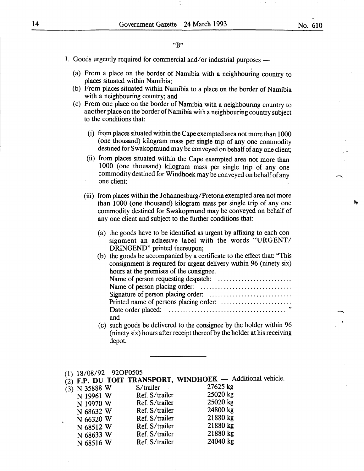### **"B"**

- 1. Goods urgently required for commercial and/or industrial purposes
	- . (a) From a place on the border of Namibia with a neighbouring country to places situated within Namibia;
	- (b) From places situated within Namibia to a place on the border of Namibia with a neighbouring country; and
	- (c) From one place on the border of Namibia with a neighbouring country to another place on the border of Namibia with a neighbouring country subject to the conditions that:
		- ( i) from places situated within the Cape exempted area not more than 1000 (one thousand) kilogram mass per single trip of any one commodity destined for Swakopmund may be conveyed on behalf of any one client;
		- (ii) from places situated within the Cape exempted area not more than 1000 (one thousand) kilogram mass per single trip of any one commodity destined for Windhoek may be conveyed on behalf of any one client;
		- (iii) from places within the Johannesburg/Pretoria exempted area not more than 1000 (one thousand) kilogram mass per single trip of any one commodity destined for Swakopmund may be conveyed on behalf of any one client and subject to the further conditions that:
			- (a) the goods have to be identified as urgent by affixing to each consignment an adhesive label with the words "URGENT/ DRINGEND" printed thereupon;
			- (b) the goods be accompanied by a certificate to the effect that: "This consignment is required for urgent delivery within 96 (ninety six) hours at the premises of the consignee.

| and |  |
|-----|--|

- (c) such goods be delivered to the consignee by the holder within 96 (ninety six) hours after receipt thereof by the holder at his receiving depot.
- (1) 18/08/92 920P0505

|                 |                | (2) F.P. DU TOIT TRANSPORT, WINDHOEK - Additional vehicle. |
|-----------------|----------------|------------------------------------------------------------|
| $(3)$ N 35888 W | S/trailer      | 27625 kg                                                   |
| N 19961 W       | Ref. S/trailer | 25020 kg                                                   |
| N 19970 W       | Ref. S/trailer | 25020 kg                                                   |
| N 68632 W       | Ref. S/trailer | 24800 kg                                                   |
| N 66320 W       | Ref. S/trailer | 21880 kg                                                   |
| N 68512 W       | Ref. S/trailer | 21880 kg                                                   |
| N 68633 W       | Ref. S/trailer | 21880 kg                                                   |
|                 | Ref. S/trailer | 24040 kg                                                   |
| N 68516 W       |                |                                                            |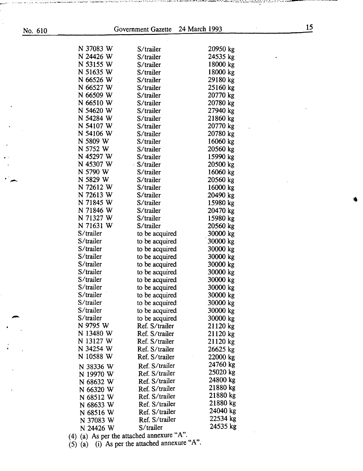| No. 610 |                                                            | Government Gazette | 24 March 1993 | 15 |
|---------|------------------------------------------------------------|--------------------|---------------|----|
|         |                                                            |                    |               |    |
|         | N 37083 W                                                  | S/trailer          | 20950 kg      |    |
|         | N 24426 W                                                  | S/trailer          | 24535 kg      |    |
|         | N 53155 W                                                  | S/trailer          | 18000 kg      |    |
|         | N 51635 W                                                  | S/trailer          | 18000 kg      |    |
|         | N 66526 W                                                  | S/trailer          | 29180 kg      |    |
|         | N 66527 W                                                  | S/trailer          | 25160 kg      |    |
|         | N 66509 W                                                  | S/trailer          | 20770 kg      |    |
|         | N 66510 W                                                  | S/trailer          | 20780 kg      |    |
|         | N 54620 W                                                  | S/trailer          | 27940 kg      |    |
|         | N 54284 W                                                  | S/trailer          | 21860 kg      |    |
|         | N 54107 W                                                  | S/trailer          | 20770 kg      |    |
|         | N 54106 W                                                  | S/trailer          | 20780 kg      |    |
|         | N 5809 W                                                   | S/trailer          | 16060 kg      |    |
|         | N 5752 W                                                   | S/trailer          | 20560 kg      |    |
|         | N 45297 W                                                  | S/trailer          | 15990 kg      |    |
|         | N 45307 W                                                  | S/trailer          | 20500 kg      |    |
|         | N 5790 W                                                   | S/trailer          | 16060 kg      |    |
|         | N 5829 W                                                   | S/trailer          | 20560 kg      |    |
|         | N 72612 W                                                  | S/trailer          | 16000 kg      |    |
|         | N 72613 W                                                  | S/trailer          | 20490 kg      |    |
|         | N 71845 W                                                  | S/trailer          |               |    |
|         |                                                            |                    | 15980 kg      |    |
|         | N 71846 W                                                  | S/trailer          | 20470 kg      |    |
|         | N 71327 W                                                  | S/trailer          | 15980 kg      |    |
|         | N 71631 W                                                  | S/trailer          | 20560 kg      |    |
|         | S/trailer                                                  | to be acquired     | 30000 kg      |    |
|         | S/trailer                                                  | to be acquired     | 30000 kg      |    |
|         | S/trailer                                                  | to be acquired     | 30000 kg      |    |
|         | S/trailer                                                  | to be acquired     | 30000 kg      |    |
|         | S/trailer                                                  | to be acquired     | 30000 kg      |    |
|         | S/trailer                                                  | to be acquired     | 30000 kg      |    |
|         | S/trailer                                                  | to be acquired     | 30000 kg      |    |
|         | S/trailer                                                  | to be acquired     | 30000 kg      |    |
|         | S/trailer                                                  | to be acquired     | 30000 kg      |    |
|         | S/trailer                                                  | to be acquired     | 30000 kg      |    |
|         | S/trailer                                                  | to be acquired     | 30000 kg      |    |
|         | S/trailer                                                  | to be acquired     | 30000 kg      |    |
|         | N 9795 W                                                   | Ref. S/trailer     | 21120 kg      |    |
|         | N 13480 W                                                  | Ref. S/trailer     | 21120 kg      |    |
|         | N 13127 W                                                  | Ref. S/trailer     | 21120 kg      |    |
|         | N 34254 W                                                  | Ref. S/trailer     | 26625 kg      |    |
|         | N 10588 W                                                  | Ref. S/trailer     | 22000 kg      |    |
|         | N 38336 W                                                  | Ref. S/trailer     | 24760 kg      |    |
|         | N 19970 W                                                  | Ref. S/trailer     | 25020 kg      |    |
|         |                                                            | Ref. S/trailer     | 24800 kg      |    |
|         | N 68632 W                                                  | Ref. S/trailer     | 21880 kg      |    |
|         | N 66320 W                                                  | Ref. S/trailer     | 21880 kg      |    |
|         | N 68512 W                                                  | Ref. S/trailer     | 21880 kg      |    |
|         | N 68633 W                                                  |                    | 24040 kg      |    |
|         | N 68516 W                                                  | Ref. S/trailer     | 22534 kg      |    |
|         | N 37083 W                                                  | Ref. S/trailer     | 24535 kg      |    |
|         | N 24426 W<br>(4) (a) As per the attached annexure " $A$ ". | S/trailer          |               |    |

والتقاطيلية ووالوالي والمناوض فالمنافذ الأنافذة الأنافذة الاقتصاد المعادل المنافذ والمنادر المنادوس ومستحيل من<br>والمناطق

., .. ~· - .

(5) (a) (i) As per the attached annexure  $A''$ .

فتستعرف والتواق والمسلم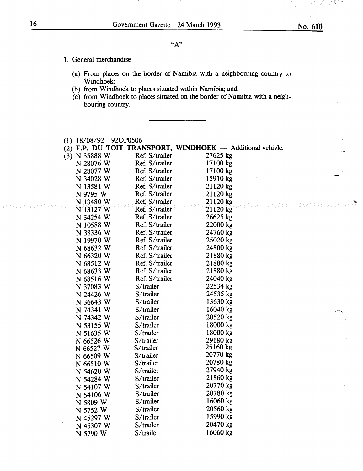- 1. General merchandise -
	- (a) From places on the border of Namibia with a neighbouring country to Windhoek;
	- (b) from Windhoek to places situated within Namibia; and
	- (c) from Windhoek to places situated on the border of Namibia with a neighbouring country.

|   | (1) 18/08/92 92OP0506 |                |                                                            |
|---|-----------------------|----------------|------------------------------------------------------------|
|   |                       |                | (2) F.P. DU TOIT TRANSPORT, WINDHOEK - Additional vehivle. |
|   | $(3)$ N 35888 W       | Ref. S/trailer | 27625 kg                                                   |
|   | N 28076 W             | Ref. S/trailer | 17100 kg                                                   |
|   | N 28077 W             | Ref. S/trailer | 17100 kg                                                   |
|   | N 34028 W             | Ref. S/trailer | 15910 kg                                                   |
|   | N 13581 W             | Ref. S/trailer | 21120 kg                                                   |
|   | N 9795 W              | Ref. S/trailer | 21120 kg                                                   |
|   | N 13480 W             | Ref. S/trailer | 21120 kg                                                   |
|   | N 13127 W             | Ref. S/trailer | 21120 kg                                                   |
|   | N 34254 W             | Ref. S/trailer | 26625 kg                                                   |
|   | N 10588 W             | Ref. S/trailer | 22000 kg                                                   |
|   | N 38336 W             | Ref. S/trailer | 24760 kg                                                   |
|   | N 19970 W             | Ref. S/trailer | 25020 kg                                                   |
|   | N 68632 W             | Ref. S/trailer | 24800 kg                                                   |
|   | N 66320 W             | Ref. S/trailer | 21880 kg                                                   |
|   | N 68512 W             | Ref. S/trailer | 21880 kg                                                   |
|   | N 68633 W             | Ref. S/trailer | 21880 kg                                                   |
|   | N 68516 W             | Ref. S/trailer | 24040 kg                                                   |
|   | N 37083 W             | S/trailer      | 22534 kg                                                   |
|   | N 24426 W             | S/trailer      | 24535 kg                                                   |
|   | N 36643 W             | S/trailer      | 13630 kg                                                   |
|   | N 74341 W             | S/trailer      | 16040 kg                                                   |
|   | N 74342 W             | S/trailer      | 20520 kg                                                   |
|   | N 53155 W             | S/trailer      | 18000 kg                                                   |
|   | N 51635 W             | S/trailer      | 18000 kg                                                   |
|   | N 66526 W             | S/trailer      | 29180 kg                                                   |
|   | N 66527 W             | S/trailer      | 25160 kg                                                   |
|   | N 66509 W             | S/trailer      | 20770 kg                                                   |
|   | N 66510 W             | S/trailer      | 20780 kg                                                   |
|   | N 54620 W             | S/trailer      | 27940 kg                                                   |
|   | N 54284 W             | S/trailer      | 21860 kg                                                   |
|   | N 54107 W             | S/trailer      | 20770 kg                                                   |
|   | N 54106 W             | S/trailer      | 20780 kg                                                   |
|   | N 5809 W              | S/trailer      | 16060 kg                                                   |
|   | N 5752 W              | S/trailer      | 20560 kg                                                   |
|   | N 45297 W             | S/trailer      | 15990 kg                                                   |
| Ł | N 45307 W             | S/trailer      | 20470 kg                                                   |
|   | N 5790 W              | S/trailer      | 16060 kg                                                   |

*·:* -., . ' ..... \_:\_~ .

.·ir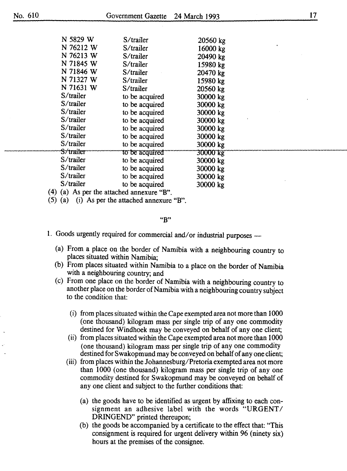| N 5829 W     | S/trailer                             | 20560 kg        |  |
|--------------|---------------------------------------|-----------------|--|
| N 76212 W    | S/trailer                             | 16000 kg        |  |
| N 76213 W    | S/trailer                             | 20490 kg        |  |
| N 71845 W    | S/trailer                             | 15980 kg        |  |
| N 71846 W    | S/trailer                             | 20470 kg        |  |
| N 71327 W    | S/trailer                             | 15980 kg        |  |
| N 71631 W    | S/trailer                             | 20560 kg        |  |
| S/trailer    | to be acquired                        | 30000 kg        |  |
| $S$ /trailer | to be acquired                        | 30000 kg        |  |
| S/trailer    | to be acquired                        | 30000 kg        |  |
| S/trailer    | to be acquired                        | 30000 kg        |  |
| S/trailer    | to be acquired                        | 30000 kg        |  |
| $S$ /trailer | to be acquired                        | 30000 kg        |  |
| S/trailer    | to be acquired                        | 30000 kg        |  |
| S/trailer    | to be acquired                        | <b>30000 kg</b> |  |
| S/trailer    | to be acquired                        | 30000 kg        |  |
| S/trailer    | to be acquired                        | 30000 kg        |  |
| S/trailer    | to be acquired                        | 30000 kg        |  |
| S/trailer    | to be acquired                        | 30000 kg        |  |
| (4)          | (a) As per the attached annexure "B". |                 |  |

(5) (a) (i) As per the attached annexure "B".

"B"

1. Goods urgently required for commercial and/or industrial purposes --

- (a) From a place on the border of Namibia with a neighbouring country to places situated within Namibia;
- (b) From places situated within Namibia to a place on the border of Namibia with a neighbouring country; and
- (c) From one place on the border of Namibia with a neighbouring country to another place on the border of Namibia with a neighbouring country subject to the condition that:
	- (i) from places situated within the Cape exempted area not more than 1000 (one thousand) kilogram mass per single trip of any one commodity destined for Windhoek may be conveyed on behalf of any one client;
	- (ii) from places situated within the Cape exempted area not more than 1000 (one thousand) kilogram mass per single trip of any one commodity destined for Swakopmund may be conveyed on behalf of any one client;
	- (iii) from places within the Johannesburg/Pretoria exempted area not more than 1000 (one thousand) kilogram mass per single trip of any one commodity destined for Swakopmund may be conveyed on behalf of any one client and subject to the further conditions that:
		- (a) the goods have to be identified as urgent by affixing to each consignment an adhesive label with the words "URGENT/ DRINGEND" printed thereupon;
		- (b) the goods be accompanied by a certificate to the effect that: "This consignment is required for urgent delivery within 96 (ninety six) hours at the premises of the consignee.